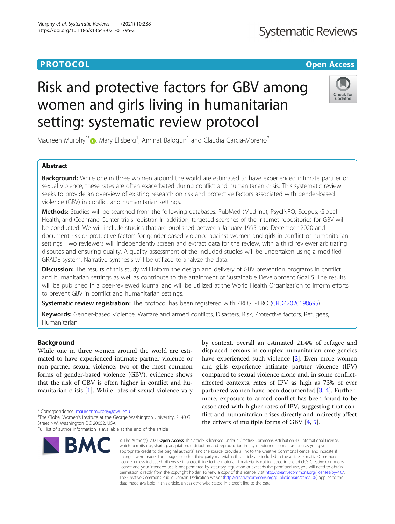# **Systematic Reviews**

# **PROTOCOL CONSUMING THE OPEN ACCESS**

# Risk and protective factors for GBV among women and girls living in humanitarian setting: systematic review protocol



Maureen Murphy<sup>1\*</sup> $\textcircled{\tiny{\textcircled{\tiny \textcirc}}}$ [,](http://orcid.org/0000-0002-3507-7564) Mary Ellsberg<sup>1</sup>, Aminat Balogun<sup>1</sup> and Claudia Garcia-Moreno<sup>2</sup>

# Abstract

Background: While one in three women around the world are estimated to have experienced intimate partner or sexual violence, these rates are often exacerbated during conflict and humanitarian crisis. This systematic review seeks to provide an overview of existing research on risk and protective factors associated with gender-based violence (GBV) in conflict and humanitarian settings.

Methods: Studies will be searched from the following databases: PubMed (Medline); PsycINFO; Scopus; Global Health; and Cochrane Center trials registrar. In addition, targeted searches of the internet repositories for GBV will be conducted. We will include studies that are published between January 1995 and December 2020 and document risk or protective factors for gender-based violence against women and girls in conflict or humanitarian settings. Two reviewers will independently screen and extract data for the review, with a third reviewer arbitrating disputes and ensuring quality. A quality assessment of the included studies will be undertaken using a modified GRADE system. Narrative synthesis will be utilized to analyze the data.

**Discussion:** The results of this study will inform the design and delivery of GBV prevention programs in conflict and humanitarian settings as well as contribute to the attainment of Sustainable Development Goal 5. The results will be published in a peer-reviewed journal and will be utilized at the World Health Organization to inform efforts to prevent GBV in conflict and humanitarian settings.

Systematic review registration: The protocol has been registered with PROSEPERO ([CRD42020198695](https://www.crd.york.ac.uk/prospero/display_record.php?RecordID=198695)).

Keywords: Gender-based violence, Warfare and armed conflicts, Disasters, Risk, Protective factors, Refugees, Humanitarian

# Background

While one in three women around the world are estimated to have experienced intimate partner violence or non-partner sexual violence, two of the most common forms of gender-based violence (GBV), evidence shows that the risk of GBV is often higher in conflict and humanitarian crisis [[1\]](#page-4-0). While rates of sexual violence vary

\* Correspondence: [maureenmurphy@gwu.edu](mailto:maureenmurphy@gwu.edu) <sup>1</sup>

Full list of author information is available at the end of the article



by context, overall an estimated 21.4% of refugee and displaced persons in complex humanitarian emergencies have experienced such violence [\[2](#page-5-0)]. Even more women and girls experience intimate partner violence (IPV) compared to sexual violence alone and, in some conflictaffected contexts, rates of IPV as high as 73% of ever partnered women have been documented [\[3,](#page-5-0) [4](#page-5-0)]. Furthermore, exposure to armed conflict has been found to be associated with higher rates of IPV, suggesting that conflict and humanitarian crises directly and indirectly affect the drivers of multiple forms of GBV [[4](#page-5-0), [5](#page-5-0)].

© The Author(s), 2021 **Open Access** This article is licensed under a Creative Commons Attribution 4.0 International License, which permits use, sharing, adaptation, distribution and reproduction in any medium or format, as long as you give appropriate credit to the original author(s) and the source, provide a link to the Creative Commons licence, and indicate if changes were made. The images or other third party material in this article are included in the article's Creative Commons licence, unless indicated otherwise in a credit line to the material. If material is not included in the article's Creative Commons licence and your intended use is not permitted by statutory regulation or exceeds the permitted use, you will need to obtain permission directly from the copyright holder. To view a copy of this licence, visit [http://creativecommons.org/licenses/by/4.0/.](http://creativecommons.org/licenses/by/4.0/) The Creative Commons Public Domain Dedication waiver [\(http://creativecommons.org/publicdomain/zero/1.0/](http://creativecommons.org/publicdomain/zero/1.0/)) applies to the data made available in this article, unless otherwise stated in a credit line to the data.

<sup>&</sup>lt;sup>1</sup>The Global Women's Institute at the George Washington University, 2140 G Street NW, Washington DC 20052, USA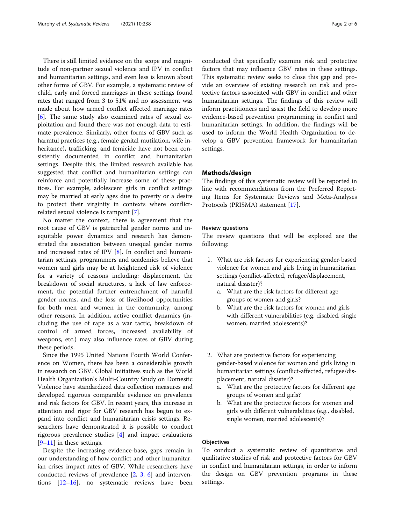There is still limited evidence on the scope and magnitude of non-partner sexual violence and IPV in conflict and humanitarian settings, and even less is known about other forms of GBV. For example, a systematic review of child, early and forced marriages in these settings found rates that ranged from 3 to 51% and no assessment was made about how armed conflict affected marriage rates [[6\]](#page-5-0). The same study also examined rates of sexual exploitation and found there was not enough data to estimate prevalence. Similarly, other forms of GBV such as harmful practices (e.g., female genital mutilation, wife inheritance), trafficking, and femicide have not been consistently documented in conflict and humanitarian settings. Despite this, the limited research available has suggested that conflict and humanitarian settings can reinforce and potentially increase some of these practices. For example, adolescent girls in conflict settings may be married at early ages due to poverty or a desire to protect their virginity in contexts where conflictrelated sexual violence is rampant [[7\]](#page-5-0).

No matter the context, there is agreement that the root cause of GBV is patriarchal gender norms and inequitable power dynamics and research has demonstrated the association between unequal gender norms and increased rates of IPV [[8\]](#page-5-0). In conflict and humanitarian settings, programmers and academics believe that women and girls may be at heightened risk of violence for a variety of reasons including: displacement, the breakdown of social structures, a lack of law enforcement, the potential further entrenchment of harmful gender norms, and the loss of livelihood opportunities for both men and women in the community, among other reasons. In addition, active conflict dynamics (including the use of rape as a war tactic, breakdown of control of armed forces, increased availability of weapons, etc.) may also influence rates of GBV during these periods.

Since the 1995 United Nations Fourth World Conference on Women, there has been a considerable growth in research on GBV. Global initiatives such as the World Health Organization's Multi-Country Study on Domestic Violence have standardized data collection measures and developed rigorous comparable evidence on prevalence and risk factors for GBV. In recent years, this increase in attention and rigor for GBV research has begun to expand into conflict and humanitarian crisis settings. Researchers have demonstrated it is possible to conduct rigorous prevalence studies [[4\]](#page-5-0) and impact evaluations  $[9-11]$  $[9-11]$  $[9-11]$  $[9-11]$  in these settings.

Despite the increasing evidence-base, gaps remain in our understanding of how conflict and other humanitarian crises impact rates of GBV. While researchers have conducted reviews of prevalence [\[2](#page-5-0), [3](#page-5-0), [6](#page-5-0)] and interventions [[12](#page-5-0)–[16](#page-5-0)], no systematic reviews have been conducted that specifically examine risk and protective factors that may influence GBV rates in these settings. This systematic review seeks to close this gap and provide an overview of existing research on risk and protective factors associated with GBV in conflict and other humanitarian settings. The findings of this review will inform practitioners and assist the field to develop more evidence-based prevention programming in conflict and humanitarian settings. In addition, the findings will be used to inform the World Health Organization to develop a GBV prevention framework for humanitarian settings.

# Methods/design

The findings of this systematic review will be reported in line with recommendations from the Preferred Reporting Items for Systematic Reviews and Meta-Analyses Protocols (PRISMA) statement [\[17](#page-5-0)].

# Review questions

The review questions that will be explored are the following:

- 1. What are risk factors for experiencing gender-based violence for women and girls living in humanitarian settings (conflict-affected, refugee/displacement, natural disaster)?
	- a. What are the risk factors for different age groups of women and girls?
	- b. What are the risk factors for women and girls with different vulnerabilities (e.g. disabled, single women, married adolescents)?
- 2. What are protective factors for experiencing gender-based violence for women and girls living in humanitarian settings (conflict-affected, refugee/displacement, natural disaster)?
	- a. What are the protective factors for different age groups of women and girls?
	- b. What are the protective factors for women and girls with different vulnerabilities (e.g., disabled, single women, married adolescents)?

# **Objectives**

To conduct a systematic review of quantitative and qualitative studies of risk and protective factors for GBV in conflict and humanitarian settings, in order to inform the design on GBV prevention programs in these settings.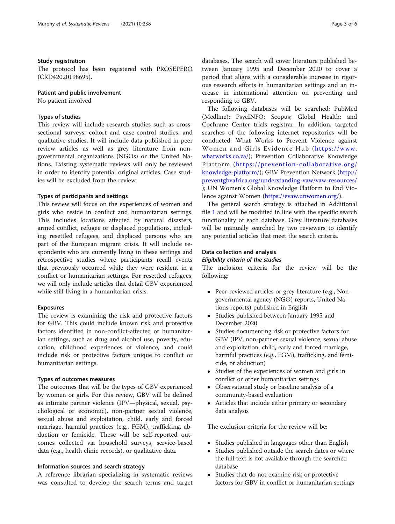# Study registration

The protocol has been registered with PROSEPERO (CRD42020198695).

# Patient and public involvement

No patient involved.

### Types of studies

This review will include research studies such as crosssectional surveys, cohort and case-control studies, and qualitative studies. It will include data published in peer review articles as well as grey literature from nongovernmental organizations (NGOs) or the United Nations. Existing systematic reviews will only be reviewed in order to identify potential original articles. Case studies will be excluded from the review.

# Types of participants and settings

This review will focus on the experiences of women and girls who reside in conflict and humanitarian settings. This includes locations affected by natural disasters, armed conflict, refugee or displaced populations, including resettled refugees, and displaced persons who are part of the European migrant crisis. It will include respondents who are currently living in these settings and retrospective studies where participants recall events that previously occurred while they were resident in a conflict or humanitarian settings. For resettled refugees, we will only include articles that detail GBV experienced while still living in a humanitarian crisis.

# Exposures

The review is examining the risk and protective factors for GBV. This could include known risk and protective factors identified in non-conflict-affected or humanitarian settings, such as drug and alcohol use, poverty, education, childhood experiences of violence, and could include risk or protective factors unique to conflict or humanitarian settings.

#### Types of outcomes measures

The outcomes that will be the types of GBV experienced by women or girls. For this review, GBV will be defined as intimate partner violence (IPV—physical, sexual, psychological or economic), non-partner sexual violence, sexual abuse and exploitation, child, early and forced marriage, harmful practices (e.g., FGM), trafficking, abduction or femicide. These will be self-reported outcomes collected via household surveys, service-based data (e.g., health clinic records), or qualitative data.

### Information sources and search strategy

A reference librarian specializing in systematic reviews was consulted to develop the search terms and target databases. The search will cover literature published between January 1995 and December 2020 to cover a period that aligns with a considerable increase in rigorous research efforts in humanitarian settings and an increase in international attention on preventing and responding to GBV.

The following databases will be searched: PubMed (Medline); PsycINFO; Scopus; Global Health; and Cochrane Center trials registrar. In addition, targeted searches of the following internet repositories will be conducted: What Works to Prevent Violence against Women and Girls Evidence Hub ([https://www.](https://www.whatworks.co.za/) [whatworks.co.za/\)](https://www.whatworks.co.za/); Prevention Collaborative Knowledge Platform ([https://prevention-collaborative.org/](https://prevention-collaborative.org/knowledge-platform/) [knowledge-platform/](https://prevention-collaborative.org/knowledge-platform/)); GBV Prevention Network [\(http://](http://preventgbvafrica.org/understanding-vaw/vaw-resources/) [preventgbvafrica.org/understanding-vaw/vaw-resources/](http://preventgbvafrica.org/understanding-vaw/vaw-resources/) ); UN Women's Global Knowledge Platform to End Violence against Women [\(https://evaw.unwomen.org/\)](https://evaw.unwomen.org/).

The general search strategy is attached in Additional file [1](#page-4-0) and will be modified in line with the specific search functionality of each database. Grey literature databases will be manually searched by two reviewers to identify any potential articles that meet the search criteria.

# Data collection and analysis

# Eligibility criteria of the studies

The inclusion criteria for the review will be the following:

- Peer-reviewed articles or grey literature (e.g., Nongovernmental agency (NGO) reports, United Nations reports) published in English
- Studies published between January 1995 and December 2020
- Studies documenting risk or protective factors for GBV (IPV, non-partner sexual violence, sexual abuse and exploitation, child, early and forced marriage, harmful practices (e.g., FGM), trafficking, and femicide, or abduction)
- Studies of the experiences of women and girls in conflict or other humanitarian settings
- Observational study or baseline analysis of a community-based evaluation
- Articles that include either primary or secondary data analysis

The exclusion criteria for the review will be:

- Studies published in languages other than English<br>• Studies published outside the search dates or whe
- Studies published outside the search dates or where the full text is not available through the searched database
- Studies that do not examine risk or protective factors for GBV in conflict or humanitarian settings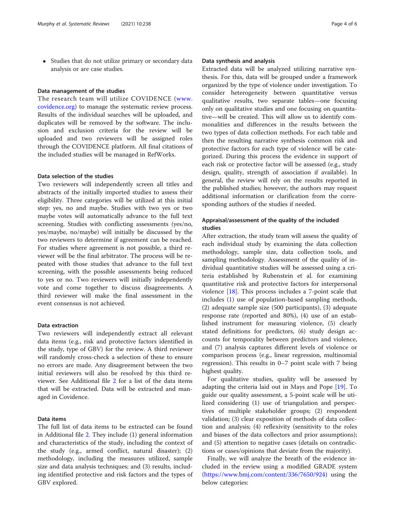Studies that do not utilize primary or secondary data analysis or are case studies.

# Data management of the studies

The research team will utilize COVIDENCE ([www.](http://www.covidence.org) [covidence.org\)](http://www.covidence.org) to manage the systematic review process. Results of the individual searches will be uploaded, and duplicates will be removed by the software. The inclusion and exclusion criteria for the review will be uploaded and two reviewers will be assigned roles through the COVIDENCE platform. All final citations of the included studies will be managed in RefWorks.

# Data selection of the studies

Two reviewers will independently screen all titles and abstracts of the initially imported studies to assess their eligibility. Three categories will be utilized at this initial step: yes, no and maybe. Studies with two yes or two maybe votes will automatically advance to the full text screening. Studies with conflicting assessments (yes/no, yes/maybe, no/maybe) will initially be discussed by the two reviewers to determine if agreement can be reached. For studies where agreement is not possible, a third reviewer will be the final arbitrator. The process will be repeated with those studies that advance to the full text screening, with the possible assessments being reduced to yes or no. Two reviewers will initially independently vote and come together to discuss disagreements. A third reviewer will make the final assessment in the event consensus is not achieved.

# Data extraction

Two reviewers will independently extract all relevant data items (e.g., risk and protective factors identified in the study, type of GBV) for the review. A third reviewer will randomly cross-check a selection of these to ensure no errors are made. Any disagreement between the two initial reviewers will also be resolved by this third reviewer. See Additional file [2](#page-4-0) for a list of the data items that will be extracted. Data will be extracted and managed in Covidence.

# Data items

The full list of data items to be extracted can be found in Additional file [2.](#page-4-0) They include (1) general information and characteristics of the study, including the context of the study (e.g., armed conflict, natural disaster); (2) methodology, including the measures utilized, sample size and data analysis techniques; and (3) results, including identified protective and risk factors and the types of GBV explored.

#### Data synthesis and analysis

Extracted data will be analyzed utilizing narrative synthesis. For this, data will be grouped under a framework organized by the type of violence under investigation. To consider heterogeneity between quantitative versus qualitative results, two separate tables—one focusing only on qualitative studies and one focusing on quantitative—will be created. This will allow us to identify commonalities and differences in the results between the two types of data collection methods. For each table and then the resulting narrative synthesis common risk and protective factors for each type of violence will be categorized. During this process the evidence in support of each risk or protective factor will be assessed (e.g., study design, quality, strength of association if available). In general, the review will rely on the results reported in the published studies; however, the authors may request additional information or clarification from the corresponding authors of the studies if needed.

# Appraisal/assessment of the quality of the included studies

After extraction, the study team will assess the quality of each individual study by examining the data collection methodology, sample size, data collection tools, and sampling methodology. Assessment of the quality of individual quantitative studies will be assessed using a criteria established by Rubenstein et al. for examining quantitative risk and protective factors for interpersonal violence [[18\]](#page-5-0). This process includes a 7-point scale that includes (1) use of population-based sampling methods, (2) adequate sample size (500 participants), (3) adequate response rate (reported and 80%), (4) use of an established instrument for measuring violence, (5) clearly stated definitions for predictors, (6) study design accounts for temporality between predictors and violence, and (7) analysis captures different levels of violence or comparison process (e.g., linear regression, multinomial regression). This results in 0–7 point scale with 7 being highest quality.

For qualitative studies, quality will be assessed by adapting the criteria laid out in Mays and Pope [\[19](#page-5-0)]. To guide our quality assessment, a 5-point scale will be utilized considering (1) use of triangulation and perspectives of multiple stakeholder groups; (2) respondent validation; (3) clear exposition of methods of data collection and analysis; (4) reflexivity (sensitivity to the roles and biases of the data collectors and prior assumptions); and (5) attention to negative cases (details on contradictions or cases/opinions that deviate from the majority).

Finally, we will analyze the breath of the evidence included in the review using a modified GRADE system ([https://www.bmj.com/content/336/7650/924\)](https://www.bmj.com/content/336/7650/924) using the below categories: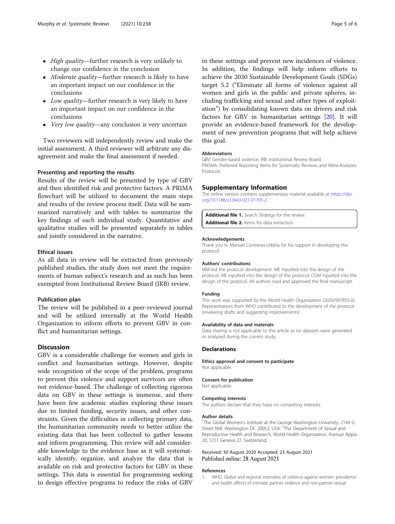- <span id="page-4-0"></span>• High quality—further research is very unlikely to change our confidence in the conclusion
- Moderate quality—further research is likely to have an important impact on our confidence in the conclusions
- Low quality—further research is very likely to have an important impact on our confidence in the conclusions
- Very low quality—any conclusion is very uncertain

Two reviewers will independently review and make the initial assessment. A third reviewer will arbitrate any disagreement and make the final assessment if needed.

#### Presenting and reporting the results

Results of the review will be presented by type of GBV and then identified risk and protective factors. A PRIMA flowchart will be utilized to document the main steps and results of the review process itself. Data will be summarized narratively and with tables to summarize the key findings of each individual study. Quantitative and qualitative studies will be presented separately in tables and jointly considered in the narrative.

#### Ethical issues

As all data in review will be extracted from previously published studies, the study does not meet the requirements of human subject's research and as such has been exempted from Institutional Review Board (IRB) review.

# Publication plan

The review will be published in a peer-reviewed journal and will be utilized internally at the World Health Organization to inform efforts to prevent GBV in conflict and humanitarian settings.

# Discussion

GBV is a considerable challenge for women and girls in conflict and humanitarian settings. However, despite wide recognition of the scope of the problem, programs to prevent this violence and support survivors are often not evidence-based. The challenge of collecting rigorous data on GBV in these settings is immense, and there have been few academic studies exploring these issues due to limited funding, security issues, and other constraints. Given the difficulties in collecting primary data, the humanitarian community needs to better utilize the existing data that has been collected to gather lessons and inform programming. This review will add considerable knowledge to the evidence base as it will systematically identify, organize, and analyze the data that is available on risk and protective factors for GBV in these settings. This data is essential for programming seeking to design effective programs to reduce the risks of GBV in these settings and prevent new incidences of violence. In addition, the findings will help inform efforts to achieve the 2030 Sustainable Development Goals (SDGs) target 5.2 ("Eliminate all forms of violence against all women and girls in the public and private spheres, including trafficking and sexual and other types of exploitation") by consolidating known data on drivers and risk factors for GBV in humanitarian settings [[20\]](#page-5-0). It will provide an evidence-based framework for the development of new prevention programs that will help achieve this goal.

#### Abbreviations

GBV: Gender-based violence; IRB: Institutional Review Board; PRISMA: Preferred Reporting Items for Systematic Reviews and Meta-Analyses Protocols

# Supplementary Information

The online version contains supplementary material available at [https://doi.](https://doi.org/10.1186/s13643-021-01795-2) [org/10.1186/s13643-021-01795-2.](https://doi.org/10.1186/s13643-021-01795-2)

Additional file 1. Search Strategy for the review. Additional file 2. Items for data extraction.

#### Acknowledgements

Thank you to Manuel Contreras-Urbina for his support in developing this protocol.

#### Authors' contributions

MM led the protocol development. ME inputted into the design of the protocol. AB inputted into the design of the protocol. CGM inputted into the design of the protocol. All authors read and approved the final manuscript.

#### Funding

This work was supported by the World Health Organization (2020/997855-0). Representatives from WHO contributed to the development of the protocol (reviewing drafts and suggesting improvements).

#### Availability of data and materials

Data sharing is not applicable to this article as no datasets were generated or analyzed during the current study.

#### **Declarations**

Ethics approval and consent to participate Not applicable.

#### Consent for publication

Not applicable.

#### Competing interests

The authors declare that they have no competing interests.

#### Author details

<sup>1</sup>The Global Women's Institute at the George Washington University, 2140 G Street NW, Washington DC 20052, USA. <sup>2</sup>The Department of Sexual and Reproductive Health and Research, World Health Organization, Avenue Appia 20, 1211 Geneva 27, Switzerland.

#### Received: 30 August 2020 Accepted: 23 August 2021 Published online: 28 August 2021

#### References

1. WHO. Global and regional estimates of violence against women: prevalence and health effects of intimate partner violence and non-partner sexual